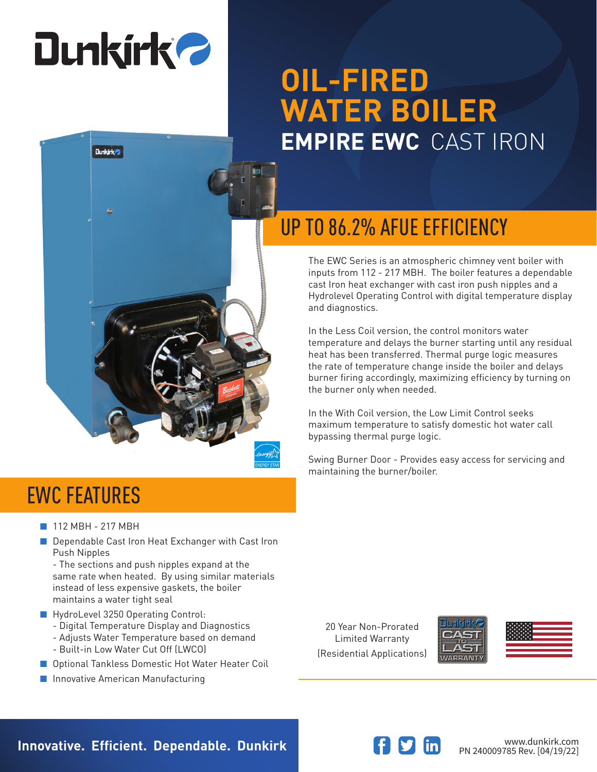# **Dunkirk 2**

**Dunkirk** 

## **OIL-FIRED WATER BOILER EMPIRE EWC** CAST IRON



The EWC Series is an atmospheric chimney vent boiler with inputs from 112 - 217 MBH. The boiler features a dependable cast Iron heat exchanger with cast iron push nipples and a Hydrolevel Operating Control with digital temperature display and diagnostics.

In the Less Coil version, the control monitors water temperature and delays the burner starting until any residual heat has been transferred. Thermal purge logic measures the rate of temperature change inside the boiler and delays burner firing accordingly, maximizing efficiency by turning on the burner only when needed.

In the With Coil version, the Low Limit Control seeks maximum temperature to satisfy domestic hot water call bypassing thermal purge logic.

Swing Burner Door - Provides easy access for servicing and maintaining the burner/boiler.

### EWC FEATURES

- 112 MBH 217 MBH
- Dependable Cast Iron Heat Exchanger with Cast Iron Push Nipples

- The sections and push nipples expand at the same rate when heated. By using similar materials instead of less expensive gaskets, the boiler maintains a water tight seal

- HydroLevel 3250 Operating Control:
	- Digital Temperature Display and Diagnostics
	- Adjusts Water Temperature based on demand
	- Built-in Low Water Cut Off (LWCO)
- Optional Tankless Domestic Hot Water Heater Coil
- Innovative American Manufacturing

20 Year Non-Prorated Limited Warranty (Residential Applications)